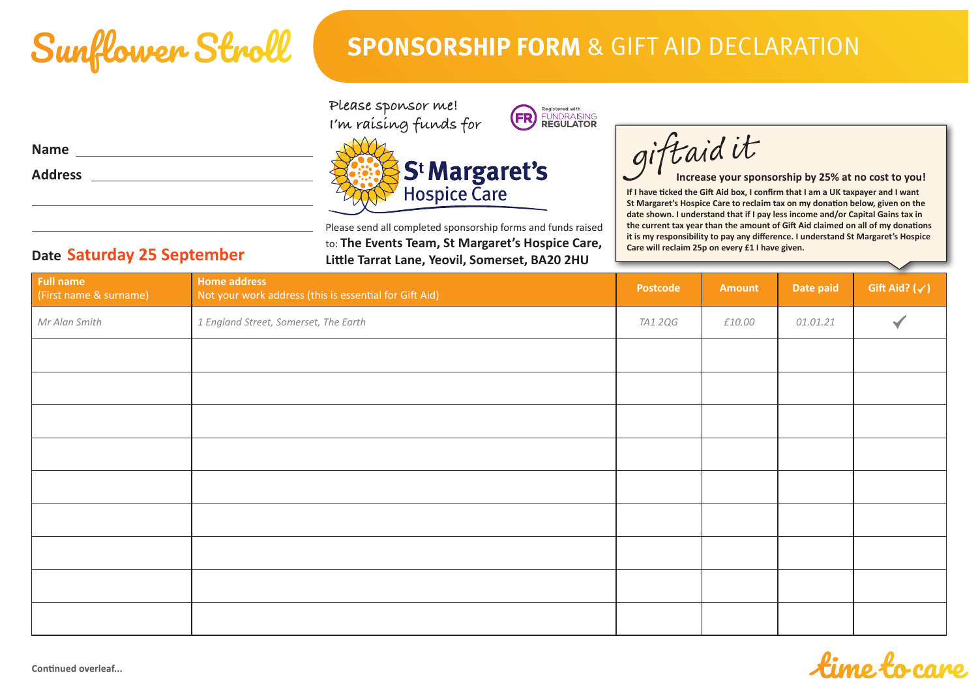

## **SPONSORSHIP FORM** & GIFT AID DECLARATION

ſ

giftaidit

| Please sponsor me!    |
|-----------------------|
| I'm raísíng funds for |





Please send all completed sponsorship forms and funds raised to: **The Events Team, St Margaret's Hospice Care, Little Tarrat Lane, Yeovil, Somerset, BA20 2HU**

**If I have ticked the Gift Aid box, I confirm that I am a UK taxpayer and I want St Margaret's Hospice Care to reclaim tax on my donation below, given on the date shown. I understand that if I pay less income and/or Capital Gains tax in the current tax year than the amount of Gift Aid claimed on all of my donations it is my responsibility to pay any difference. I understand St Margaret's Hospice Care will reclaim 25p on every £1 I have given. Increase your sponsorship by 25% at no cost to you!**

fingo fo

| <b>Full name</b><br>(First name & surname) | <b>Home address</b><br>Not your work address (this is essential for Gift Aid) | Postcode       | Amount | Date paid | $\sim$<br>Gift Aid? $(\checkmark)$ |
|--------------------------------------------|-------------------------------------------------------------------------------|----------------|--------|-----------|------------------------------------|
| Mr Alan Smith                              | 1 England Street, Somerset, The Earth                                         | <b>TA1 2QG</b> | £10.00 | 01.01.21  |                                    |
|                                            |                                                                               |                |        |           |                                    |
|                                            |                                                                               |                |        |           |                                    |
|                                            |                                                                               |                |        |           |                                    |
|                                            |                                                                               |                |        |           |                                    |
|                                            |                                                                               |                |        |           |                                    |
|                                            |                                                                               |                |        |           |                                    |
|                                            |                                                                               |                |        |           |                                    |
|                                            |                                                                               |                |        |           |                                    |
|                                            |                                                                               |                |        |           |                                    |

**Name Address**

**Date Saturday 25 September**

**Continued overleaf...**